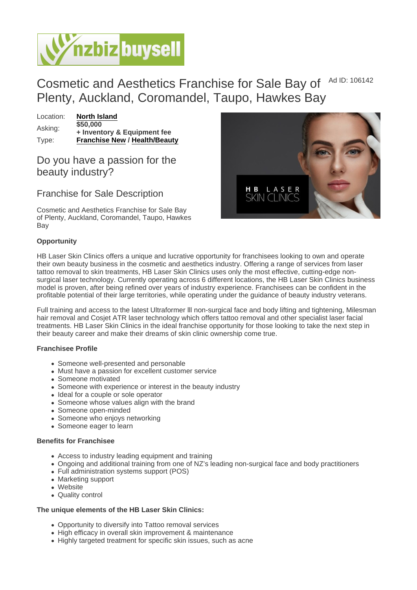## Cosmetic and Aesthetics Franchise for Sale Bay of Plenty, Auckland, Coromandel, Taupo, Hawkes Bay Ad ID: 106142

Location: [North Island](https://www.nzbizbuysell.co.nz/businesses-for-sale/location/North-Island) Asking: \$50,000 + Inventory & Equipment fee Type: [Franchise New](https://www.nzbizbuysell.co.nz/businesses-for-sale/Franchise-New/New-Zealand) / [Health/Beauty](https://www.nzbizbuysell.co.nz/businesses-for-sale/Health--Beauty/New-Zealand)

Do you have a passion for the beauty industry?

## Franchise for Sale Description

Cosmetic and Aesthetics Franchise for Sale Bay of Plenty, Auckland, Coromandel, Taupo, Hawkes Bay

### **Opportunity**

HB Laser Skin Clinics offers a unique and lucrative opportunity for franchisees looking to own and operate their own beauty business in the cosmetic and aesthetics industry. Offering a range of services from laser tattoo removal to skin treatments, HB Laser Skin Clinics uses only the most effective, cutting-edge nonsurgical laser technology. Currently operating across 6 different locations, the HB Laser Skin Clinics business model is proven, after being refined over years of industry experience. Franchisees can be confident in the profitable potential of their large territories, while operating under the guidance of beauty industry veterans.

Full training and access to the latest Ultraformer lll non-surgical face and body lifting and tightening, Milesman hair removal and Cosjet ATR laser technology which offers tattoo removal and other specialist laser facial treatments. HB Laser Skin Clinics in the ideal franchise opportunity for those looking to take the next step in their beauty career and make their dreams of skin clinic ownership come true.

#### Franchisee Profile

- Someone well-presented and personable
- Must have a passion for excellent customer service
- Someone motivated
- Someone with experience or interest in the beauty industry
- Ideal for a couple or sole operator
- Someone whose values align with the brand
- Someone open-minded
- Someone who enjoys networking
- Someone eager to learn

#### Benefits for Franchisee

- Access to industry leading equipment and training
- Ongoing and additional training from one of NZ's leading non-surgical face and body practitioners
- Full administration systems support (POS)
- Marketing support
- Website
- Quality control

The unique elements of the HB Laser Skin Clinics:

- Opportunity to diversify into Tattoo removal services
- High efficacy in overall skin improvement & maintenance
- Highly targeted treatment for specific skin issues, such as acne